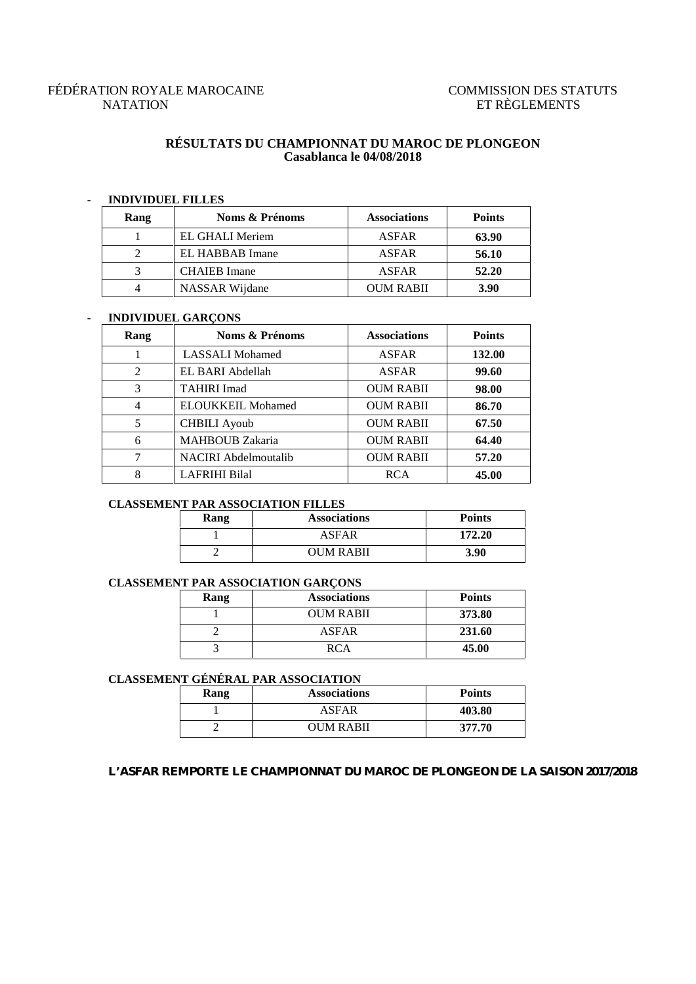# FÉDÉRATION ROYALE MAROCAINE COMMISSION DES STATUTS NATATION ET RÈGLEMENTS

## **RÉSULTATS DU CHAMPIONNAT DU MAROC DE PLONGEON Casablanca le 04/08/2018**

# - **INDIVIDUEL FILLES**

| Rang | Noms & Prénoms      | <b>Associations</b> | <b>Points</b> |
|------|---------------------|---------------------|---------------|
|      | EL GHALI Meriem     | ASFAR               | 63.90         |
|      | EL HABBAB Imane     | ASFAR               | 56.10         |
|      | <b>CHAIEB</b> Imane | ASFAR               | 52.20         |
|      | NASSAR Wijdane      | <b>OUM RABII</b>    | <b>3.90</b>   |

### - **INDIVIDUEL GARÇONS**

| Rang | Noms & Prénoms              | <b>Associations</b> | <b>Points</b> |
|------|-----------------------------|---------------------|---------------|
|      | <b>LASSALI</b> Mohamed      | <b>ASFAR</b>        | 132.00        |
| 2    | EL BARI Abdellah            | <b>ASFAR</b>        | 99.60         |
| 3    | <b>TAHIRI Imad</b>          | <b>OUM RABII</b>    | 98.00         |
| 4    | <b>ELOUKKEIL Mohamed</b>    | <b>OUM RABII</b>    | 86.70         |
| 5    | <b>CHBILI</b> Ayoub         | <b>OUM RABII</b>    | 67.50         |
| 6    | <b>MAHBOUB</b> Zakaria      | <b>OUM RABII</b>    | 64.40         |
| 7    | <b>NACIRI</b> Abdelmoutalib | <b>OUM RABII</b>    | 57.20         |
| 8    | <b>LAFRIHI Bilal</b>        | <b>RCA</b>          | 45.00         |

## **CLASSEMENT PAR ASSOCIATION FILLES**

| Rang | <b>Associations</b> | <b>Points</b> |
|------|---------------------|---------------|
|      | ASFAR               | 172.20        |
|      | <b>OUM RABII</b>    | 3.90          |

## **CLASSEMENT PAR ASSOCIATION GARÇONS**

| Rang | <b>Associations</b> | <b>Points</b> |
|------|---------------------|---------------|
|      | <b>OUM RABII</b>    | 373.80        |
|      | ASFAR               | 231.60        |
|      | RCA                 | 45.00         |

# **CLASSEMENT GÉNÉRAL PAR ASSOCIATION**

| Rang | <b>Associations</b> | <b>Points</b> |
|------|---------------------|---------------|
|      | ASFAR               | 403.80        |
|      | <b>OUM RABII</b>    | 377.70        |

#### **L'ASFAR REMPORTE LE CHAMPIONNAT DU MAROC DE PLONGEON DE LA SAISON 2017/2018**